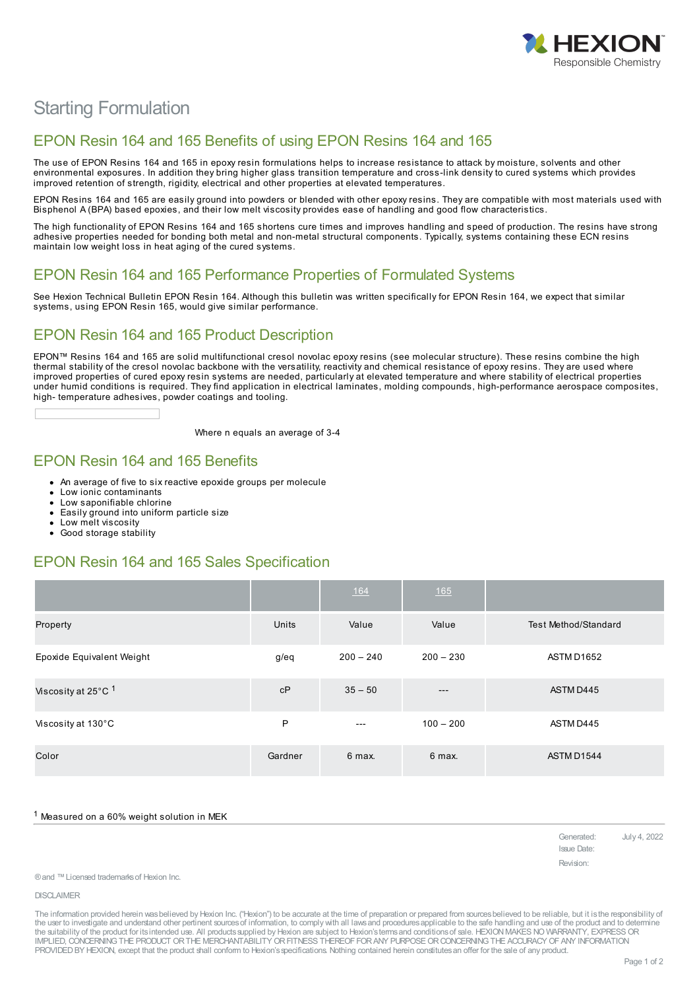

# Starting Formulation

## EPON Resin 164 and 165 Benefits of using EPON Resins 164 and 165

The use of EPON Resins 164 and 165 in epoxy resin formulations helps to increase resistance to attack by moisture, solvents and other environmental exposures. In addition they bring higher glass transition temperature and cross-link density to cured systems which provides improved retention of strength, rigidity, electrical and other properties at elevated temperatures.

EPON Resins 164 and 165 are easily ground into powders or blended with other epoxy resins. They are compatible with most materials used with Bisphenol A (BPA) based epoxies, and their low melt viscosity provides ease of handling and good flow characteristics.

The high functionality of EPON Resins 164 and 165 shortens cure times and improves handling and speed of production. The resins have strong adhesive properties needed for bonding both metal and non-metal structural components. Typically, systems containing these ECN resins maintain low weight loss in heat aging of the cured systems.

#### EPON Resin 164 and 165 Performance Properties of Formulated Systems

See Hexion Technical Bulletin EPON Resin 164. Although this bulletin was written specifically for EPON Resin 164, we expect that similar systems, using EPON Resin 165, would give similar performance.

## EPON Resin 164 and 165 Product Description

EPON™ Resins 164 and 165 are solid multifunctional cresol novolac epoxy resins (see molecular structure). These resins combine the high thermal stability of the cresol novolac backbone with the versatility, reactivity and chemical resistance of epoxy resins. They are used where improved properties of cured epoxy resin systems are needed, particularly at elevated temperature and where stability of electrical properties under humid conditions is required. They find application in electrical laminates, molding compounds, high-performance aerospace composites, high- temperature adhesives, powder coatings and tooling.

Where n equals an average of 3-4

## EPON Resin 164 and 165 Benefits

- An average of five to six reactive epoxide groups per molecule
- Low ionic contaminants
- Low saponifiable chlorine
- Easily ground into uniform particle size Low melt viscosity
- 
- $\bullet$ Good storage stability

#### EPON Resin 164 and 165 Sales Specification

|                                |         | 164         | <u>165</u>  |                      |
|--------------------------------|---------|-------------|-------------|----------------------|
| Property                       | Units   | Value       | Value       | Test Method/Standard |
| Epoxide Equivalent Weight      | g/eq    | $200 - 240$ | $200 - 230$ | ASTM D1652           |
| Viscosity at 25°C <sup>1</sup> | cP      | $35 - 50$   | $---$       | ASTM D445            |
| Viscosity at 130°C             | P       | $---$       | $100 - 200$ | ASTM D445            |
| Color                          | Gardner | 6 max.      | 6 max.      | ASTM D1544           |

Measured on a 60% weight solution in MEK

Generated: July 4, 2022 Issue Date: Revision:

® and ™Licensed trademarks of Hexion Inc.

DISCLAIMER

The information provided herein was believed by Hexion Inc. ("Hexion") to be accurate at the time of preparation or prepared from sources believed to be reliable, but it is the responsibility of the user to investigate and understand other pertinent sources of information, to comply with all laws and procedures applicable to the safe handling and use of the product and to determine the suitability of the product for its intended use. All products supplied by Hexion are subject to Hexion's terms and conditions of sale. HEXION MAKES NO WARRANTY, EXPRESS OR<br>IMPLIED, CONCERNING THE PRODUCT OR THE MERCHAN PROVIDED BY HEXION, except that the product shall conform to Hexion's specifications. Nothing contained herein constitutes an offer for the sale of any product.